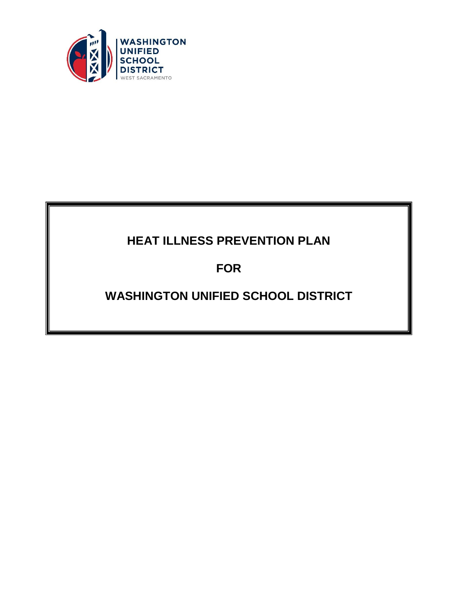

# **HEAT ILLNESS PREVENTION PLAN**

**FOR**

# **WASHINGTON UNIFIED SCHOOL DISTRICT**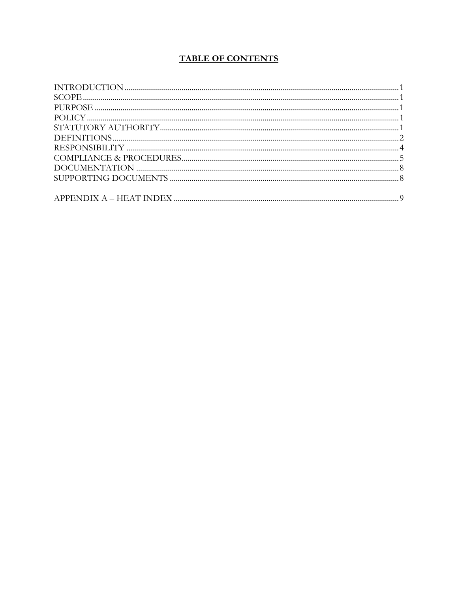## **TABLE OF CONTENTS**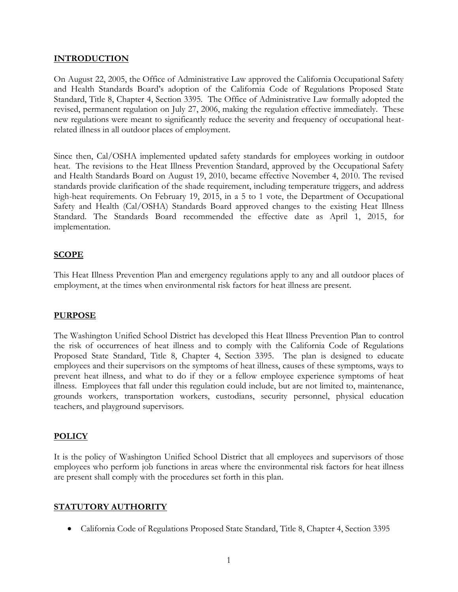## **INTRODUCTION**

On August 22, 2005, the Office of Administrative Law approved the California Occupational Safety and Health Standards Board's adoption of the California Code of Regulations Proposed State Standard, Title 8, Chapter 4, Section 3395. The Office of Administrative Law formally adopted the revised, permanent regulation on July 27, 2006, making the regulation effective immediately. These new regulations were meant to significantly reduce the severity and frequency of occupational heatrelated illness in all outdoor places of employment.

Since then, Cal/OSHA implemented updated safety standards for employees working in outdoor heat. The revisions to the Heat Illness Prevention Standard, approved by the Occupational Safety and Health Standards Board on August 19, 2010, became effective November 4, 2010. The revised standards provide clarification of the shade requirement, including temperature triggers, and address high-heat requirements. On February 19, 2015, in a 5 to 1 vote, the Department of Occupational Safety and Health (Cal/OSHA) Standards Board approved changes to the existing Heat Illness Standard. The Standards Board recommended the effective date as April 1, 2015, for implementation.

#### **SCOPE**

This Heat Illness Prevention Plan and emergency regulations apply to any and all outdoor places of employment, at the times when environmental risk factors for heat illness are present.

#### **PURPOSE**

The Washington Unified School District has developed this Heat Illness Prevention Plan to control the risk of occurrences of heat illness and to comply with the California Code of Regulations Proposed State Standard, Title 8, Chapter 4, Section 3395. The plan is designed to educate employees and their supervisors on the symptoms of heat illness, causes of these symptoms, ways to prevent heat illness, and what to do if they or a fellow employee experience symptoms of heat illness. Employees that fall under this regulation could include, but are not limited to, maintenance, grounds workers, transportation workers, custodians, security personnel, physical education teachers, and playground supervisors.

#### **POLICY**

It is the policy of Washington Unified School District that all employees and supervisors of those employees who perform job functions in areas where the environmental risk factors for heat illness are present shall comply with the procedures set forth in this plan.

#### **STATUTORY AUTHORITY**

• California Code of Regulations Proposed State Standard, Title 8, Chapter 4, Section 3395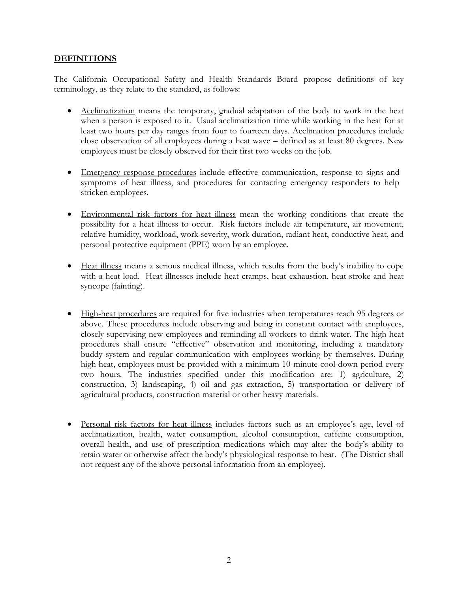## **DEFINITIONS**

The California Occupational Safety and Health Standards Board propose definitions of key terminology, as they relate to the standard, as follows:

- Acclimatization means the temporary, gradual adaptation of the body to work in the heat when a person is exposed to it. Usual acclimatization time while working in the heat for at least two hours per day ranges from four to fourteen days. Acclimation procedures include close observation of all employees during a heat wave – defined as at least 80 degrees. New employees must be closely observed for their first two weeks on the job.
- Emergency response procedures include effective communication, response to signs and symptoms of heat illness, and procedures for contacting emergency responders to help stricken employees.
- Environmental risk factors for heat illness mean the working conditions that create the possibility for a heat illness to occur. Risk factors include air temperature, air movement, relative humidity, workload, work severity, work duration, radiant heat, conductive heat, and personal protective equipment (PPE) worn by an employee.
- Heat illness means a serious medical illness, which results from the body's inability to cope with a heat load. Heat illnesses include heat cramps, heat exhaustion, heat stroke and heat syncope (fainting).
- High-heat procedures are required for five industries when temperatures reach 95 degrees or above. These procedures include observing and being in constant contact with employees, closely supervising new employees and reminding all workers to drink water. The high heat procedures shall ensure "effective" observation and monitoring, including a mandatory buddy system and regular communication with employees working by themselves. During high heat, employees must be provided with a minimum 10-minute cool-down period every two hours. The industries specified under this modification are: 1) agriculture, 2) construction, 3) landscaping, 4) oil and gas extraction, 5) transportation or delivery of agricultural products, construction material or other heavy materials.
- Personal risk factors for heat illness includes factors such as an employee's age, level of acclimatization, health, water consumption, alcohol consumption, caffeine consumption, overall health, and use of prescription medications which may alter the body's ability to retain water or otherwise affect the body's physiological response to heat. (The District shall not request any of the above personal information from an employee).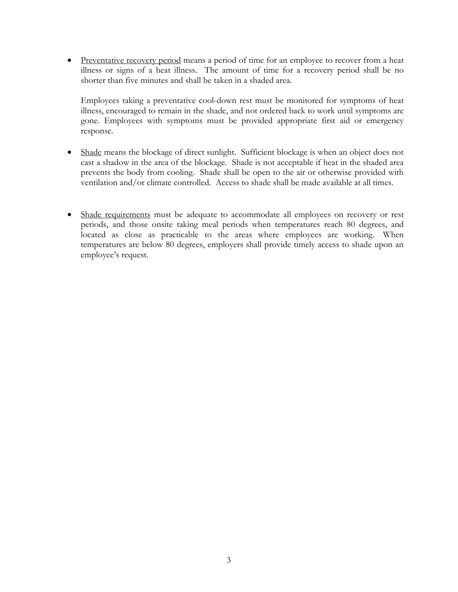• Preventative recovery period means a period of time for an employee to recover from a heat illness or signs of a heat illness. The amount of time for a recovery period shall be no shorter than five minutes and shall be taken in a shaded area.

Employees taking a preventative cool-down rest must be monitored for symptoms of heat illness, encouraged to remain in the shade, and not ordered back to work until symptoms are gone. Employees with symptoms must be provided appropriate first aid or emergency response.

- Shade means the blockage of direct sunlight. Sufficient blockage is when an object does not cast a shadow in the area of the blockage. Shade is not acceptable if heat in the shaded area prevents the body from cooling. Shade shall be open to the air or otherwise provided with ventilation and/or climate controlled. Access to shade shall be made available at all times.
- Shade requirements must be adequate to accommodate all employees on recovery or rest periods, and those onsite taking meal periods when temperatures reach 80 degrees, and located as close as practicable to the areas where employees are working. When temperatures are below 80 degrees, employers shall provide timely access to shade upon an employee's request.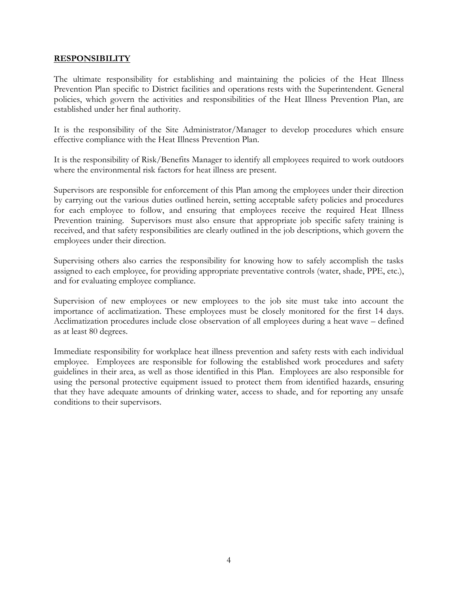#### **RESPONSIBILITY**

The ultimate responsibility for establishing and maintaining the policies of the Heat Illness Prevention Plan specific to District facilities and operations rests with the Superintendent. General policies, which govern the activities and responsibilities of the Heat Illness Prevention Plan, are established under her final authority.

It is the responsibility of the Site Administrator/Manager to develop procedures which ensure effective compliance with the Heat Illness Prevention Plan.

It is the responsibility of Risk/Benefits Manager to identify all employees required to work outdoors where the environmental risk factors for heat illness are present.

Supervisors are responsible for enforcement of this Plan among the employees under their direction by carrying out the various duties outlined herein, setting acceptable safety policies and procedures for each employee to follow, and ensuring that employees receive the required Heat Illness Prevention training. Supervisors must also ensure that appropriate job specific safety training is received, and that safety responsibilities are clearly outlined in the job descriptions, which govern the employees under their direction.

Supervising others also carries the responsibility for knowing how to safely accomplish the tasks assigned to each employee, for providing appropriate preventative controls (water, shade, PPE, etc.), and for evaluating employee compliance.

Supervision of new employees or new employees to the job site must take into account the importance of acclimatization. These employees must be closely monitored for the first 14 days. Acclimatization procedures include close observation of all employees during a heat wave – defined as at least 80 degrees.

Immediate responsibility for workplace heat illness prevention and safety rests with each individual employee. Employees are responsible for following the established work procedures and safety guidelines in their area, as well as those identified in this Plan. Employees are also responsible for using the personal protective equipment issued to protect them from identified hazards, ensuring that they have adequate amounts of drinking water, access to shade, and for reporting any unsafe conditions to their supervisors.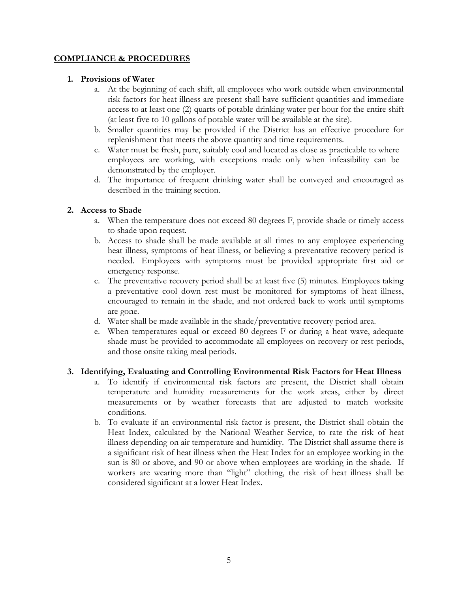## **COMPLIANCE & PROCEDURES**

## **1. Provisions of Water**

- a. At the beginning of each shift, all employees who work outside when environmental risk factors for heat illness are present shall have sufficient quantities and immediate access to at least one (2) quarts of potable drinking water per hour for the entire shift (at least five to 10 gallons of potable water will be available at the site).
- b. Smaller quantities may be provided if the District has an effective procedure for replenishment that meets the above quantity and time requirements.
- c. Water must be fresh, pure, suitably cool and located as close as practicable to where employees are working, with exceptions made only when infeasibility can be demonstrated by the employer.
- d. The importance of frequent drinking water shall be conveyed and encouraged as described in the training section.

## **2. Access to Shade**

- a. When the temperature does not exceed 80 degrees F, provide shade or timely access to shade upon request.
- b. Access to shade shall be made available at all times to any employee experiencing heat illness, symptoms of heat illness, or believing a preventative recovery period is needed. Employees with symptoms must be provided appropriate first aid or emergency response.
- c. The preventative recovery period shall be at least five (5) minutes. Employees taking a preventative cool down rest must be monitored for symptoms of heat illness, encouraged to remain in the shade, and not ordered back to work until symptoms are gone.
- d. Water shall be made available in the shade/preventative recovery period area.
- e. When temperatures equal or exceed 80 degrees F or during a heat wave, adequate shade must be provided to accommodate all employees on recovery or rest periods, and those onsite taking meal periods.

#### **3. Identifying, Evaluating and Controlling Environmental Risk Factors for Heat Illness**

- a. To identify if environmental risk factors are present, the District shall obtain temperature and humidity measurements for the work areas, either by direct measurements or by weather forecasts that are adjusted to match worksite conditions.
- b. To evaluate if an environmental risk factor is present, the District shall obtain the Heat Index, calculated by the National Weather Service, to rate the risk of heat illness depending on air temperature and humidity. The District shall assume there is a significant risk of heat illness when the Heat Index for an employee working in the sun is 80 or above, and 90 or above when employees are working in the shade. If workers are wearing more than "light" clothing, the risk of heat illness shall be considered significant at a lower Heat Index.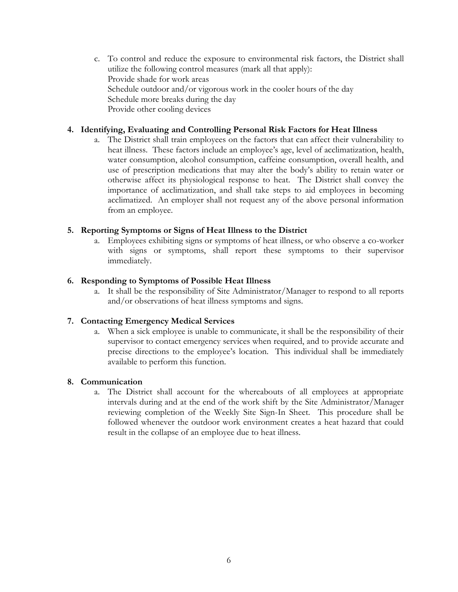c. To control and reduce the exposure to environmental risk factors, the District shall utilize the following control measures (mark all that apply): Provide shade for work areas Schedule outdoor and/or vigorous work in the cooler hours of the day Schedule more breaks during the day Provide other cooling devices

## **4. Identifying, Evaluating and Controlling Personal Risk Factors for Heat Illness**

a. The District shall train employees on the factors that can affect their vulnerability to heat illness. These factors include an employee's age, level of acclimatization, health, water consumption, alcohol consumption, caffeine consumption, overall health, and use of prescription medications that may alter the body's ability to retain water or otherwise affect its physiological response to heat. The District shall convey the importance of acclimatization, and shall take steps to aid employees in becoming acclimatized. An employer shall not request any of the above personal information from an employee.

## **5. Reporting Symptoms or Signs of Heat Illness to the District**

a. Employees exhibiting signs or symptoms of heat illness, or who observe a co-worker with signs or symptoms, shall report these symptoms to their supervisor immediately.

## **6. Responding to Symptoms of Possible Heat Illness**

a. It shall be the responsibility of Site Administrator/Manager to respond to all reports and/or observations of heat illness symptoms and signs.

## **7. Contacting Emergency Medical Services**

a. When a sick employee is unable to communicate, it shall be the responsibility of their supervisor to contact emergency services when required, and to provide accurate and precise directions to the employee's location. This individual shall be immediately available to perform this function.

## **8. Communication**

a. The District shall account for the whereabouts of all employees at appropriate intervals during and at the end of the work shift by the Site Administrator/Manager reviewing completion of the Weekly Site Sign-In Sheet. This procedure shall be followed whenever the outdoor work environment creates a heat hazard that could result in the collapse of an employee due to heat illness.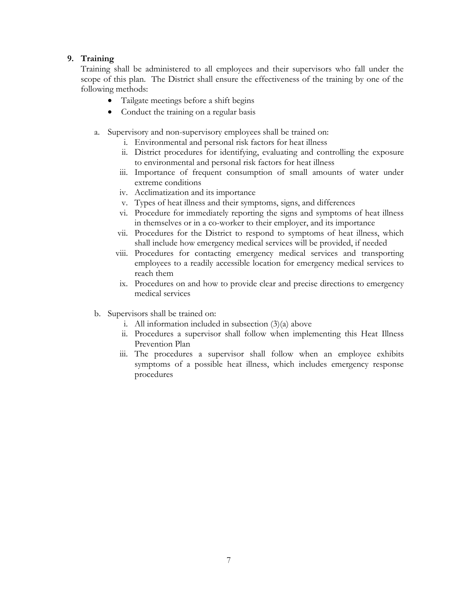## **9. Training**

Training shall be administered to all employees and their supervisors who fall under the scope of this plan. The District shall ensure the effectiveness of the training by one of the following methods:

- Tailgate meetings before a shift begins
- Conduct the training on a regular basis
- a. Supervisory and non-supervisory employees shall be trained on:
	- i. Environmental and personal risk factors for heat illness
	- ii. District procedures for identifying, evaluating and controlling the exposure to environmental and personal risk factors for heat illness
	- iii. Importance of frequent consumption of small amounts of water under extreme conditions
	- iv. Acclimatization and its importance
	- v. Types of heat illness and their symptoms, signs, and differences
	- vi. Procedure for immediately reporting the signs and symptoms of heat illness in themselves or in a co-worker to their employer, and its importance
	- vii. Procedures for the District to respond to symptoms of heat illness, which shall include how emergency medical services will be provided, if needed
	- viii. Procedures for contacting emergency medical services and transporting employees to a readily accessible location for emergency medical services to reach them
	- ix. Procedures on and how to provide clear and precise directions to emergency medical services
- b. Supervisors shall be trained on:
	- i. All information included in subsection  $(3)(a)$  above
	- ii. Procedures a supervisor shall follow when implementing this Heat Illness Prevention Plan
	- iii. The procedures a supervisor shall follow when an employee exhibits symptoms of a possible heat illness, which includes emergency response procedures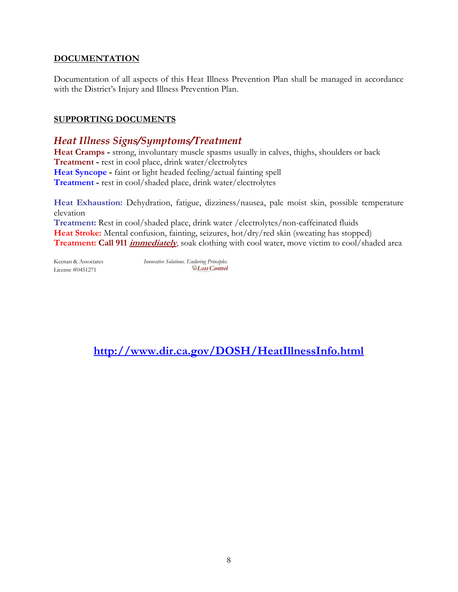## **DOCUMENTATION**

Documentation of all aspects of this Heat Illness Prevention Plan shall be managed in accordance with the District's Injury and Illness Prevention Plan.

## **SUPPORTING DOCUMENTS**

## *Heat Illness Signs/Symptoms/Treatment*

**Heat Cramps -** strong, involuntary muscle spasms usually in calves, thighs, shoulders or back **Treatment -** rest in cool place, drink water/electrolytes **Heat Syncope -** faint or light headed feeling/actual fainting spell **Treatment -** rest in cool/shaded place, drink water/electrolytes

**Heat Exhaustion:** Dehydration, fatigue, dizziness/nausea, pale moist skin, possible temperature elevation

**Treatment:** Rest in cool/shaded place, drink water /electrolytes/non-caffeinated fluids Heat Stroke: Mental confusion, fainting, seizures, hot/dry/red skin (sweating has stopped) **Treatment: Call 911 immediately**, soak clothing with cool water, move victim to cool/shaded area

License #0451271

Keenan & Associates *Innovative Solutions. Enduring Principles.*<br>*I* icense #0451271 *Doss Control* 

**<http://www.dir.ca.gov/DOSH/HeatIllnessInfo.html>**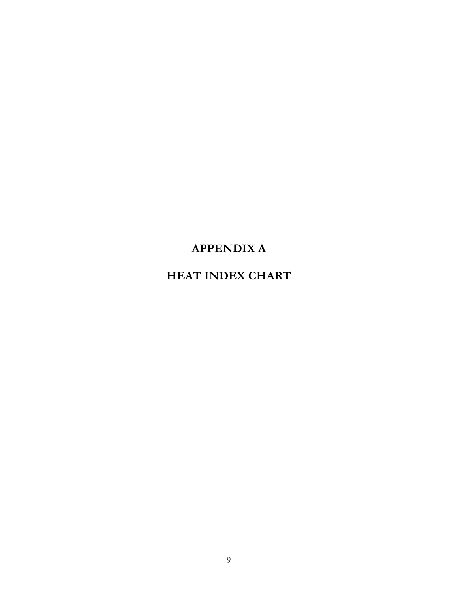## **APPENDIX A**

## **HEAT INDEX CHART**